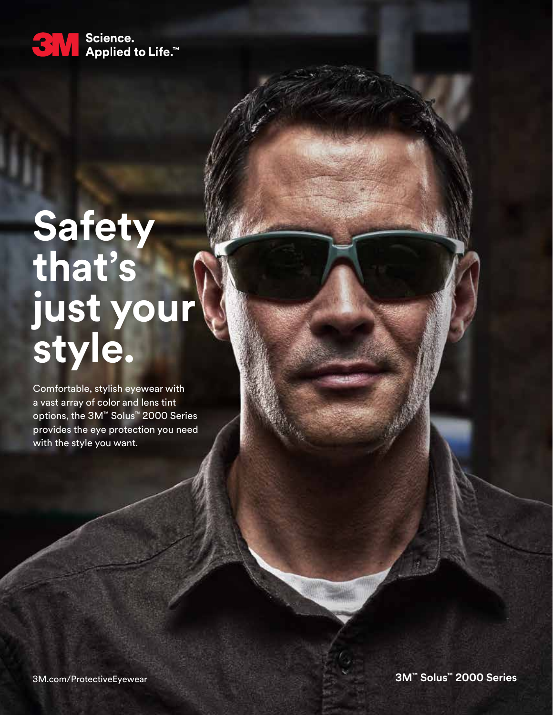

# **Safety that's just your style.**

Comfortable, stylish eyewear with a vast array of color and lens tint options, the 3M™ Solus™ 2000 Series provides the eye protection you need with the style you want.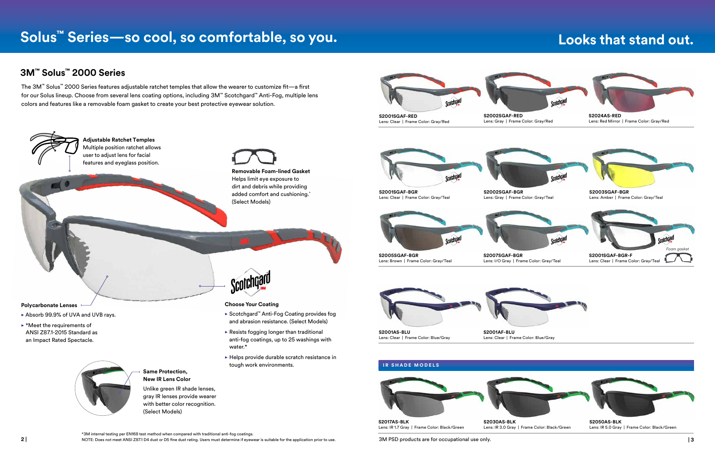NOTE: Does not meet ANSI Z87.1 D4 dust or D5 fine dust rating. Users must determine if eyewear is suitable for the application prior to use. **2 | | 3**

## **Solus™ Series—so cool, so comfortable, so you.**

colors and features like a removable foam gasket to create your best protective eyewear solution.





### **Looks that stand out.**

Lens: IR 1.7 Gray | Frame Color: Black/Green

Lens: IR 3.0 Gray | Frame Color: Black/Green

**S2050AS-BLK** Lens: IR 5.0 Gray | Frame Color: Black/Green

#### **3M™ Solus™ 2000 Series**

\*3M internal testing per EN168 test method when compared with traditional anti-fog coatings.

3M PSD products are for occupational use only.